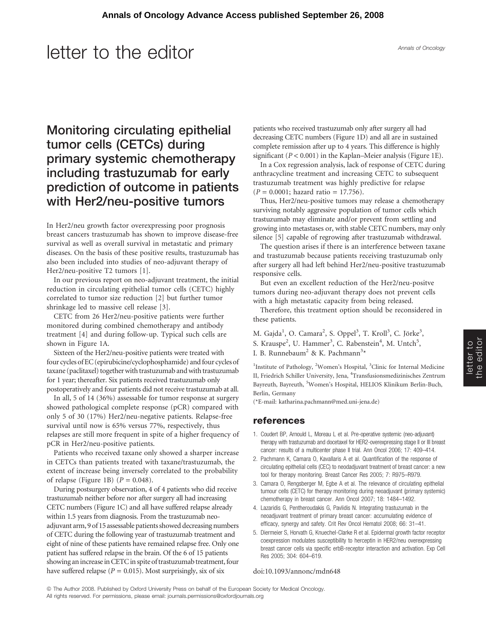## letter to the editor

### Monitoring circulating epithelial tumor cells (CETCs) during primary systemic chemotherapy including trastuzumab for early prediction of outcome in patients with Her2/neu-positive tumors

In Her2/neu growth factor overexpressing poor prognosis breast cancers trastuzumab has shown to improve disease-free survival as well as overall survival in metastatic and primary diseases. On the basis of these positive results, trastuzumab has also been included into studies of neo-adjuvant therapy of Her2/neu-positive T2 tumors [1].

In our previous report on neo-adjuvant treatment, the initial reduction in circulating epithelial tumor cells (CETC) highly correlated to tumor size reduction [2] but further tumor shrinkage led to massive cell release [3].

CETC from 26 Her2/neu-positive patients were further monitored during combined chemotherapy and antibody treatment [4] and during follow-up. Typical such cells are shown in Figure 1A.

Sixteen of the Her2/neu-positive patients were treated with four cycles of EC (epirubicine/cyclophosphamide) andfour cycles of taxane (paclitaxel) together with trastuzumab and with trastuzumab for 1 year; thereafter. Six patients received trastuzumab only postoperatively and four patients did not receive trastuzumab at all.

In all, 5 of 14 (36%) assessable for tumor response at surgery showed pathological complete response (pCR) compared with only 5 of 30 (17%) Her2/neu-negative patients. Relapse-free survival until now is 65% versus 77%, respectively, thus relapses are still more frequent in spite of a higher frequency of pCR in Her2/neu-positive patients.

Patients who received taxane only showed a sharper increase in CETCs than patients treated with taxane/trastuzumab, the extent of increase being inversely correlated to the probability of relapse (Figure 1B)  $(P = 0.048)$ .

During postsurgery observation, 4 of 4 patients who did receive trastuzumab neither before nor after surgery all had increasing CETC numbers (Figure 1C) and all have suffered relapse already within 1.5 years from diagnosis. From the trastuzumab neoadjuvant arm, 9 of 15 assessable patients showed decreasing numbers of CETC during the following year of trastuzumab treatment and eight of nine of these patients have remained relapse free. Only one patient has suffered relapse in the brain. Of the 6 of 15 patients showing an increase in CETC in spite of trastuzumab treatment, four have suffered relapse ( $P = 0.015$ ). Most surprisingly, six of six

patients who received trastuzumab only after surgery all had decreasing CETC numbers (Figure 1D) and all are in sustained complete remission after up to 4 years. This difference is highly significant ( $P < 0.001$ ) in the Kaplan–Meier analysis (Figure 1E).

In a Cox regression analysis, lack of response of CETC during anthracycline treatment and increasing CETC to subsequent trastuzumab treatment was highly predictive for relapse  $(P = 0.0001;$  hazard ratio = 17.756).

Thus, Her2/neu-positive tumors may release a chemotherapy surviving notably aggressive population of tumor cells which trastuzumab may eliminate and/or prevent from settling and growing into metastases or, with stable CETC numbers, may only silence [5] capable of regrowing after trastuzumab withdrawal.

The question arises if there is an interference between taxane and trastuzumab because patients receiving trastuzumab only after surgery all had left behind Her2/neu-positive trastuzumab responsive cells.

But even an excellent reduction of the Her2/neu-positve tumors during neo-adjuvant therapy does not prevent cells with a high metastatic capacity from being released.

Therefore, this treatment option should be reconsidered in these patients.

M. Gajda<sup>1</sup>, O. Camara<sup>2</sup>, S. Oppel<sup>3</sup>, T. Kroll<sup>3</sup>, C. Jörke<sup>3</sup>, S. Krauspe<sup>2</sup>, U. Hammer<sup>3</sup>, C. Rabenstein<sup>4</sup>, M. Untch<sup>5</sup>, I. B. Runnebaum<sup>2</sup> & K. Pachmann<sup>3</sup>\*

<sup>1</sup>Institute of Pathology, <sup>2</sup>Women's Hospital, <sup>3</sup>Clinic for Internal Medicine II, Friedrich Schiller University, Jena, <sup>4</sup>Transfusionsmedizinisches Zentrum Bayreuth, Bayreuth, <sup>5</sup>Women's Hospital, HELIOS Klinikum Berlin-Buch, Berlin, Germany

(\*E-mail: katharina.pachmann@med.uni-jena.de)

#### references

- 1. Coudert BP, Arnould L, Moreau L et al. Pre-operative systemic (neo-adjuvant) therapy with trastuzumab and docetaxel for HER2-overexpressing stage II or III breast cancer: results of a multicenter phase II trial. Ann Oncol 2006; 17: 409–414.
- 2. Pachmann K, Camara O, Kavallaris A et al. Quantification of the response of circulating epithelial cells (CEC) to neodadjuvant treatment of breast cancer: a new tool for therapy monitoring. Breast Cancer Res 2005; 7: R975–R979.
- 3. Camara O, Rengsberger M, Egbe A et al. The relevance of circulating epithelial tumour cells (CETC) for therapy monitoring during neoadjuvant (primary systemic) chemotherapy in breast cancer. Ann Oncol 2007; 18: 1484–1492.
- 4. Lazaridis G, Pentheroudakis G, Pavlidis N. Integrating trastuzumab in the neoadjuvant treatment of primary breast cancer: accumulating evidence of efficacy, synergy and safety. Crit Rev Oncol Hematol 2008; 66: 31–41.
- 5. Diermeier S, Horvath G, Knuechel-Clarke R et al. Epidermal growth factor receptor coexpression modulates susceptibility to herceptin in HER2/neu overexpressing breast cancer cells via specific erbB-receptor interaction and activation. Exp Cell Res 2005; 304: 604–619.

#### doi:10.1093/annonc/mdn648

*ª* The Author 2008. Published by Oxford University Press on behalf of the European Society for Medical Oncology. All rights reserved. For permissions, please email: journals.permissions@oxfordjournals.org